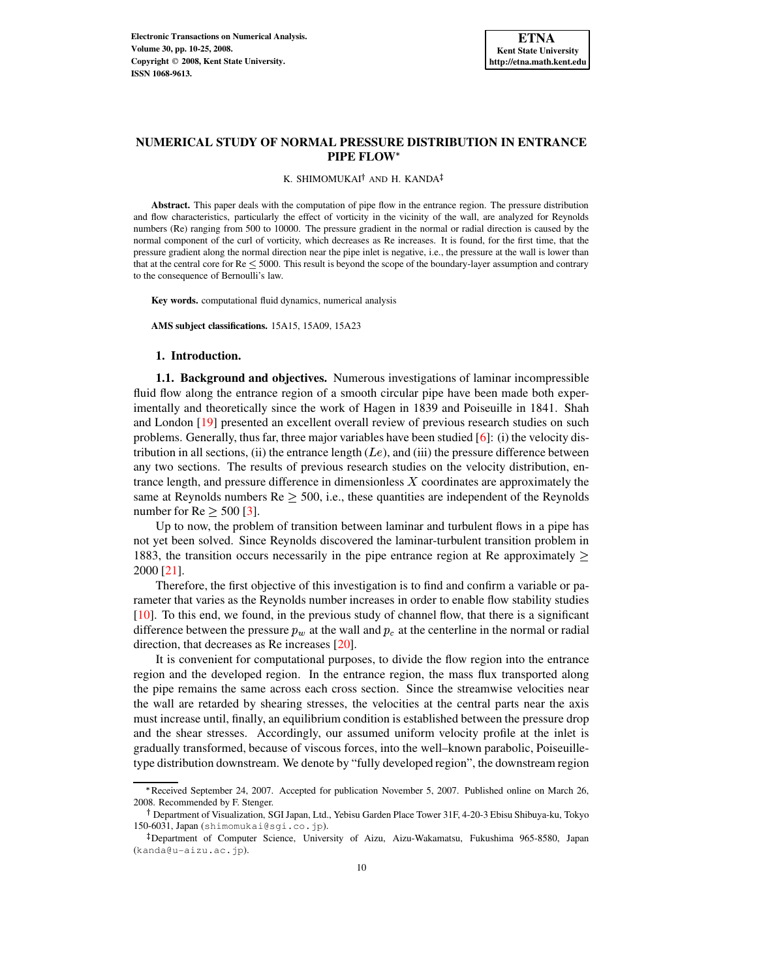### K. SHIMOMUKAI<sup>†</sup> AND H. KANDA

**Abstract.** This paper deals with the computation of pipe flow in the entrance region. The pressure distribution and flow characteristics, particularly the effect of vorticity in the vicinity of the wall, are analyzed for Reynolds numbers (Re) ranging from 500 to 10000. The pressure gradient in the normal or radial direction is caused by the normal component of the curl of vorticity, which decreases as Re increases. It is found, for the first time, that the pressure gradient along the normal direction near the pipe inlet is negative, i.e., the pressure at the wall is lower than that at the central core for  $Re < 5000$ . This result is beyond the scope of the boundary-layer assumption and contrary to the consequence of Bernoulli's law.

**Key words.** computational fluid dynamics, numerical analysis

**AMS subject classifications.** 15A15, 15A09, 15A23

# **1. Introduction.**

**1.1. Background and objectives.** Numerous investigations of laminar incompressible fluid flow along the entrance region of a smooth circular pipe have been made both experimentally and theoretically since the work of Hagen in 1839 and Poiseuille in 1841. Shah and London [\[19\]](#page-15-0) presented an excellent overall review of previous research studies on such problems. Generally, thus far, three major variables have been studied [\[6\]](#page-14-0): (i) the velocity distribution in all sections, (ii) the entrance length  $(Le)$ , and (iii) the pressure difference between any two sections. The results of previous research studies on the velocity distribution, entrance length, and pressure difference in dimensionless  $X$  coordinates are approximately the same at Reynolds numbers  $\text{Re} \geq 500$ , i.e., these quantities are independent of the Reynolds number for  $Re > 500$  [\[3\]](#page-14-1).

Up to now, the problem of transition between laminar and turbulent flows in a pipe has not yet been solved. Since Reynolds discovered the laminar-turbulent transition problem in 1883, the transition occurs necessarily in the pipe entrance region at Re approximately  $\geq$ 2000 [\[21\]](#page-15-1).

Therefore, the first objective of this investigation is to find and confirm a variable or parameter that varies as the Reynolds number increases in order to enable flow stability studies [\[10\]](#page-14-2). To this end, we found, in the previous study of channel flow, that there is a significant difference between the pressure  $p_w$  at the wall and  $p_c$  at the centerline in the normal or radial direction, that decreases as Re increases [\[20\]](#page-15-2).

It is convenient for computational purposes, to divide the flow region into the entrance region and the developed region. In the entrance region, the mass flux transported along the pipe remains the same across each cross section. Since the streamwise velocities near the wall are retarded by shearing stresses, the velocities at the central parts near the axis must increase until, finally, an equilibrium condition is established between the pressure drop and the shear stresses. Accordingly, our assumed uniform velocity profile at the inlet is gradually transformed, because of viscous forces, into the well–known parabolic, Poiseuilletype distribution downstream. We denote by "fully developed region", the downstream region

Received September 24, 2007. Accepted for publication November 5, 2007. Published online on March 26, 2008. Recommended by F. Stenger.

<sup>&</sup>lt;sup>†</sup> Department of Visualization, SGI Japan, Ltd., Yebisu Garden Place Tower 31F, 4-20-3 Ebisu Shibuya-ku, Tokyo 150-6031, Japan (shimomukai@sgi.co.jp).

<sup>-</sup> Department of Computer Science, University of Aizu, Aizu-Wakamatsu, Fukushima 965-8580, Japan (kanda@u-aizu.ac.jp).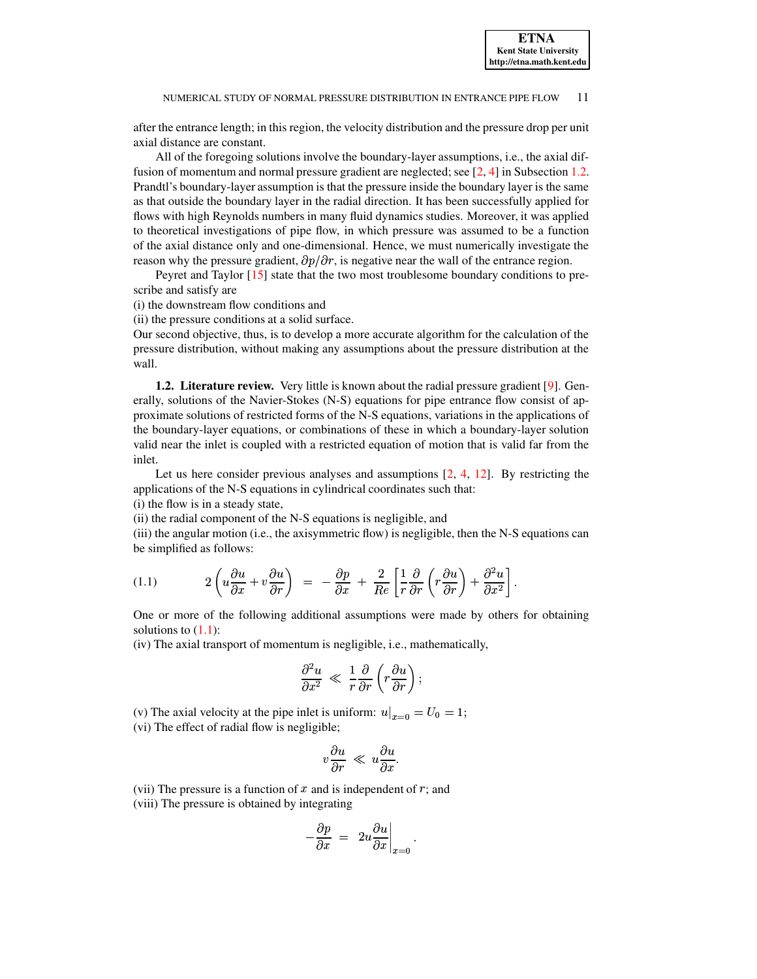after the entrance length; in this region, the velocity distribution and the pressure drop per unit axial distance are constant.

All of the foregoing solutions involve the boundary-layer assumptions, i.e., the axial diffusion of momentum and normal pressure gradient are neglected; see [\[2,](#page-14-3) [4\]](#page-14-4) in Subsection [1.2.](#page-1-0) Prandtl's boundary-layer assumption is that the pressure inside the boundary layer is the same as that outside the boundary layer in the radial direction. It has been successfully applied for flows with high Reynolds numbers in many fluid dynamics studies. Moreover, it was applied to theoretical investigations of pipe flow, in which pressure was assumed to be a function of the axial distance only and one-dimensional. Hence, we must numerically investigate the reason why the pressure gradient,  $\partial p/\partial r$ , is negative near the wall of the entrance region.

Peyret and Taylor [\[15\]](#page-14-5) state that the two most troublesome boundary conditions to prescribe and satisfy are

(i) the downstream flow conditions and

(ii) the pressure conditions at a solid surface.

Our second objective, thus, is to develop a more accurate algorithm for the calculation of the pressure distribution, without making any assumptions about the pressure distribution at the wall.

<span id="page-1-0"></span>**1.2. Literature review.** Very little is known about the radial pressure gradient [\[9\]](#page-14-6). Generally, solutions of the Navier-Stokes (N-S) equations for pipe entrance flow consist of approximate solutions of restricted forms of the N-S equations, variations in the applications of the boundary-layer equations, or combinations of these in which a boundary-layer solution valid near the inlet is coupled with a restricted equation of motion that is valid far from the inlet.

Let us here consider previous analyses and assumptions  $[2, 4, 12]$  $[2, 4, 12]$  $[2, 4, 12]$  $[2, 4, 12]$  $[2, 4, 12]$ . By restricting the applications of the N-S equations in cylindrical coordinates such that:

(i) the flow is in a steady state,

(ii) the radial component of the N-S equations is negligible, and

(iii) the angular motion (i.e., the axisymmetric flow) is negligible, then the N-S equations can be simplified as follows:

<span id="page-1-1"></span>
$$
(1.1) \qquad 2\left(u\frac{\partial u}{\partial x} + v\frac{\partial u}{\partial r}\right) = -\frac{\partial p}{\partial x} + \frac{2}{Re}\left[\frac{1}{r}\frac{\partial}{\partial r}\left(r\frac{\partial u}{\partial r}\right) + \frac{\partial^2 u}{\partial x^2}\right].
$$

One or more of the following additional assumptions were made by others for obtaining solutions to  $(1.1)$ :

(iv) The axial transport of momentum is negligible, i.e., mathematically,

$$
\frac{\partial^2 u}{\partial x^2} \ll \frac{1}{r} \frac{\partial}{\partial r} \left( r \frac{\partial u}{\partial r} \right);
$$

(v) The axial velocity at the pipe inlet is uniform:  $u|_{x=0} = U_0 = 1$ ; (vi) The effect of radial flow is negligible;

$$
v\frac{\partial u}{\partial r} \ll u\frac{\partial u}{\partial x}.
$$

(vii) The pressure is a function of  $x$  and is independent of  $r$ ; and

(viii) The pressure is obtained by integrating

$$
-\frac{\partial p}{\partial x} = 2u \frac{\partial u}{\partial x}\Big|_{x=0}.
$$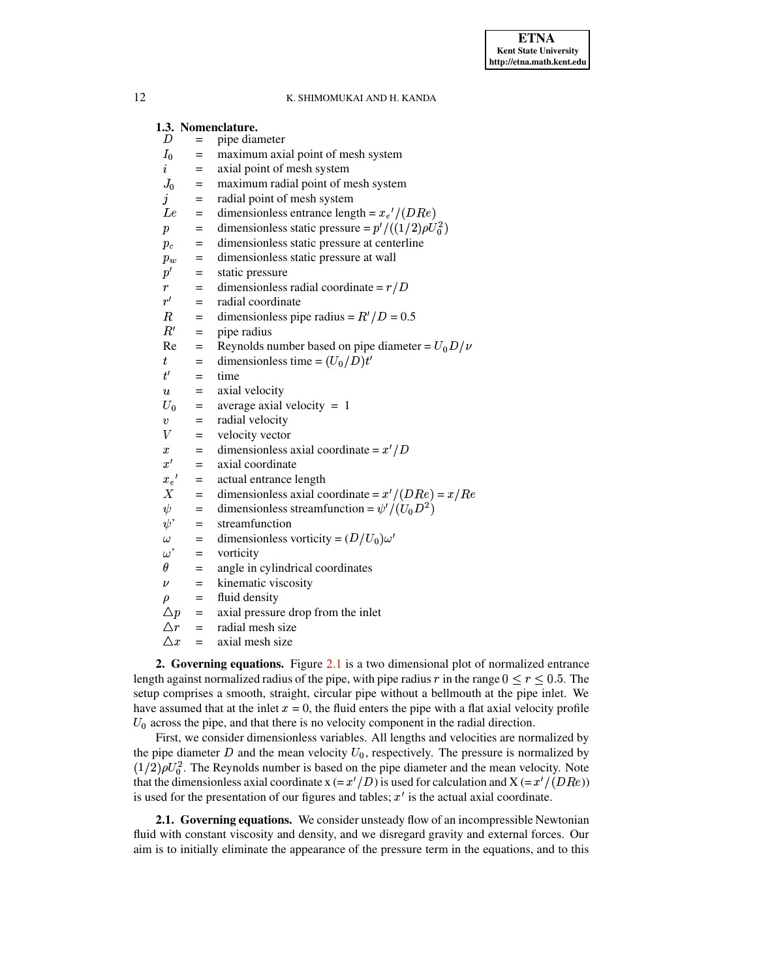|                    |                           | 1.3. Nomenclature.                                        |
|--------------------|---------------------------|-----------------------------------------------------------|
| D                  | $=$                       | pipe diameter                                             |
| $I_0$              | $=$                       | maximum axial point of mesh system                        |
| $\boldsymbol{i}$   | $=$                       | axial point of mesh system                                |
|                    | $J_0 =$                   | maximum radial point of mesh system                       |
| j                  | $=$                       | radial point of mesh system                               |
|                    | $Le =$                    | dimensionless entrance length = $x_e'/(DRe)$              |
| $\boldsymbol{p}$   | $=$                       | dimensionless static pressure = $p' / ((1/2) \rho U_0^2)$ |
|                    | $=$<br>$p_c$              | dimensionless static pressure at centerline               |
|                    | $=$<br>$p_w$              | dimensionless static pressure at wall                     |
|                    | $p' =$                    | static pressure                                           |
| r                  | $\mathbf{r} = \mathbf{r}$ | dimensionless radial coordinate = $r/D$                   |
| $r^{\prime}$       | $=$                       | radial coordinate                                         |
| $_{\it R}$         | $=$                       | dimensionless pipe radius = $R'/D = 0.5$                  |
|                    | R'<br>$=$                 | pipe radius                                               |
|                    | $Re =$                    | Reynolds number based on pipe diameter = $U_0 D / \nu$    |
| $t_{\rm}$          | $=$                       | dimensionless time = $(U_0/D)t'$                          |
| $t^{\prime}$       | $=$                       | time                                                      |
| $\boldsymbol{u}$   | $\alpha = 1$              | axial velocity                                            |
|                    | $U_0 =$                   | average axial velocity $= 1$                              |
| $\boldsymbol{v}$   | $=$                       | radial velocity                                           |
| V                  |                           | $=$ velocity vector                                       |
| $\boldsymbol{x}$   | $=$                       | dimensionless axial coordinate = $x'/D$                   |
| $x^{\prime}$       | $=$                       | axial coordinate                                          |
| $x_e{}'$           | $=$                       | actual entrance length                                    |
| X                  | $=$                       | dimensionless axial coordinate = $x'/(DRe) = x/Re$        |
| $\psi$             | $=$                       | dimensionless streamfunction = $\psi'/(U_0 D^2)$          |
| $\psi^*$           | $=$                       | streamfunction                                            |
| $\omega$           | $\alpha_{\rm c} = 0.000$  | dimensionless vorticity = $(D/U_0)\omega'$                |
|                    | $\omega$ ' =              | vorticity                                                 |
| $\theta$           | $=$                       | angle in cylindrical coordinates                          |
| $\boldsymbol{\nu}$ |                           | $=$ kinematic viscosity                                   |
| $\rho$             |                           | $=$ fluid density                                         |
|                    |                           | $\Delta p$ = axial pressure drop from the inlet           |
|                    |                           | $\Delta r$ = radial mesh size                             |
| $\triangle x$      | $=$                       | axial mesh size                                           |

**2. Governing equations.** Figure [2.1](#page-3-0) is a two dimensional plot of normalized entrance length against normalized radius of the pipe, with pipe radius r in the range  $0 \le r \le 0.5$ . The setup comprises a smooth, straight, circular pipe without a bellmouth at the pipe inlet. We have assumed that at the inlet  $x = 0$ , the fluid enters the pipe with a flat axial velocity profile <sup>0</sup> across the pipe, and that there is no velocity component in the radial direction.

First, we consider dimensionless variables. All lengths and velocities are normalized by the pipe diameter  $D$  and the mean velocity  $U_0$ , respectively. The pressure is normalized by  $(1/2)\rho U_0^2$ . The Reynolds number is based on the pipe diameter and the mean velocity. Note  $(1/2)\rho U_0^2$ . The Reynolds number is based on the pipe diameter and the mean velocity. Note that the dimensionless axial coordinate x (=  $x'/D$ ) is used for calculation and X (=  $x'/(DRe)$ ) is used for the presentation of our figures and tables;  $x'$  is the actual axial coordinate.

**2.1. Governing equations.** We consider unsteady flow of an incompressible Newtonian fluid with constant viscosity and density, and we disregard gravity and external forces. Our aim is to initially eliminate the appearance of the pressure term in the equations, and to this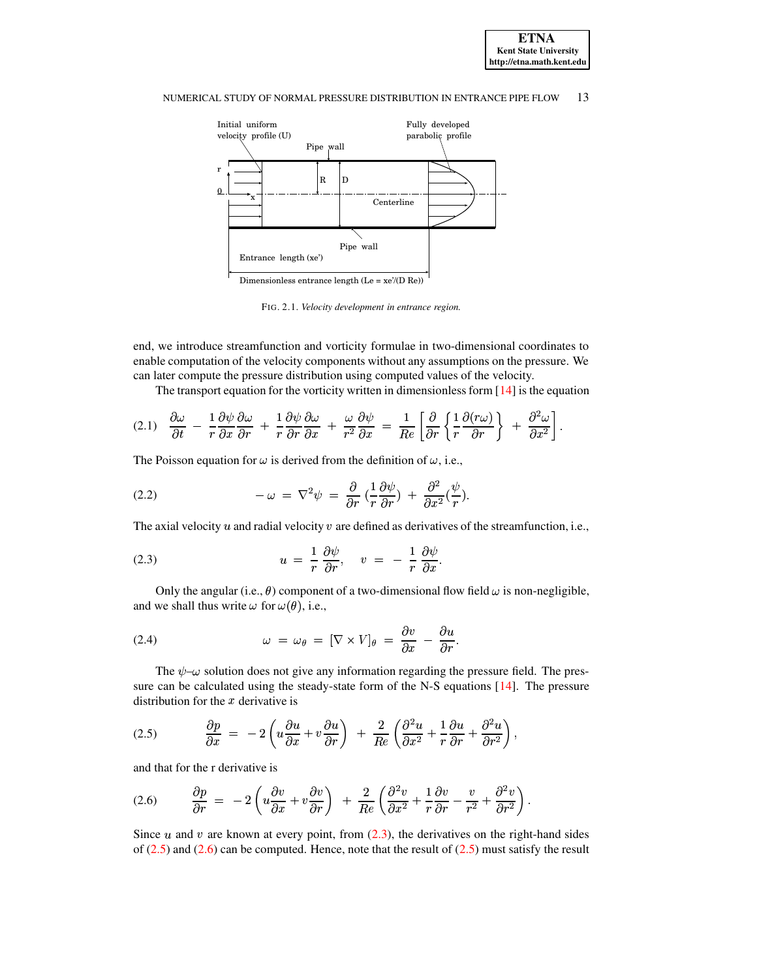



<span id="page-3-0"></span>FIG. 2.1. *Velocity development in entrance region.*

end, we introduce streamfunction and vorticity formulae in two-dimensional coordinates to enable computation of the velocity components without any assumptions on the pressure. We can later compute the pressure distribution using computed values of the velocity.

The transport equation for the vorticity written in dimensionless form  $[14]$  is the equation

<span id="page-3-4"></span>
$$
(2.1) \quad \frac{\partial \omega}{\partial t} - \frac{1}{r} \frac{\partial \psi}{\partial x} \frac{\partial \omega}{\partial r} + \frac{1}{r} \frac{\partial \psi}{\partial r} \frac{\partial \omega}{\partial x} + \frac{\omega}{r^2} \frac{\partial \psi}{\partial x} = \frac{1}{Re} \left[ \frac{\partial}{\partial r} \left\{ \frac{1}{r} \frac{\partial (r \omega)}{\partial r} \right\} + \frac{\partial^2 \omega}{\partial x^2} \right].
$$

The Poisson equation for  $\omega$  is derived from the definition of  $\omega$ , i.e.,

<span id="page-3-5"></span>(2.2) 
$$
-\omega = \nabla^2 \psi = \frac{\partial}{\partial r} \left( \frac{1}{r} \frac{\partial \psi}{\partial r} \right) + \frac{\partial^2}{\partial x^2} \left( \frac{\psi}{r} \right).
$$

The axial velocity  $u$  and radial velocity  $v$  are defined as derivatives of the streamfunction, i.e.,

<span id="page-3-1"></span>(2.3) 
$$
u = \frac{1}{r} \frac{\partial \psi}{\partial r}, \quad v = -\frac{1}{r} \frac{\partial \psi}{\partial x}.
$$

Only the angular (i.e.,  $\theta$ ) component of a two-dimensional flow field  $\omega$  is non-negligible, and we shall thus write  $\omega$  for  $\omega(\theta)$ , i.e.,

<span id="page-3-6"></span>(2.4) 
$$
\omega = \omega_{\theta} = [\nabla \times V]_{\theta} = \frac{\partial v}{\partial x} - \frac{\partial u}{\partial r}.
$$

The  $\psi$ - $\omega$  solution does not give any information regarding the pressure field. The pres-sure can be calculated using the steady-state form of the N-S equations [\[14\]](#page-14-8). The pressure distribution for the  $x$  derivative is

<span id="page-3-2"></span>(2.5) 
$$
\frac{\partial p}{\partial x} = -2 \left( u \frac{\partial u}{\partial x} + v \frac{\partial u}{\partial r} \right) + \frac{2}{Re} \left( \frac{\partial^2 u}{\partial x^2} + \frac{1}{r} \frac{\partial u}{\partial r} + \frac{\partial^2 u}{\partial r^2} \right),
$$

and that for the r derivative is

<span id="page-3-3"></span>
$$
(2.6) \qquad \frac{\partial p}{\partial r} = -2\left(u\frac{\partial v}{\partial x} + v\frac{\partial v}{\partial r}\right) + \frac{2}{Re}\left(\frac{\partial^2 v}{\partial x^2} + \frac{1}{r}\frac{\partial v}{\partial r} - \frac{v}{r^2} + \frac{\partial^2 v}{\partial r^2}\right).
$$

Since  $u$  and  $v$  are known at every point, from [\(2.3\)](#page-3-1), the derivatives on the right-hand sides of  $(2.5)$  and  $(2.6)$  can be computed. Hence, note that the result of  $(2.5)$  must satisfy the result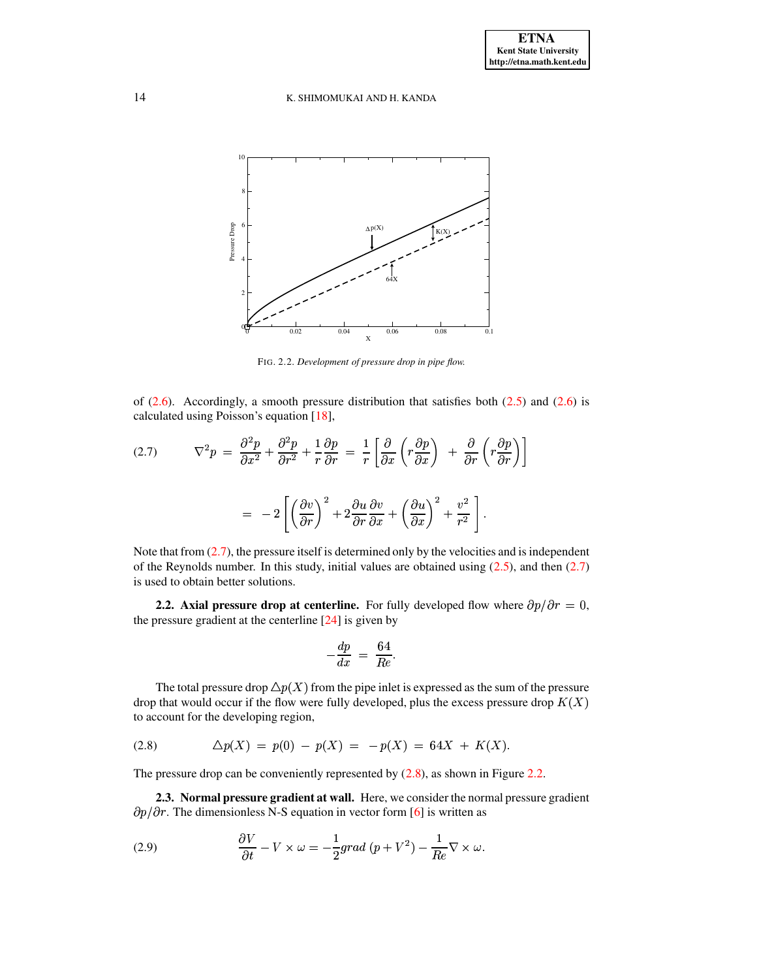

<span id="page-4-2"></span>FIG. 2.2. *Development of pressure drop in pipe flow.*

of  $(2.6)$ . Accordingly, a smooth pressure distribution that satisfies both  $(2.5)$  and  $(2.6)$  is calculated using Poisson's equation [\[18\]](#page-15-3),

<span id="page-4-0"></span>(2.7) 
$$
\nabla^2 p = \frac{\partial^2 p}{\partial x^2} + \frac{\partial^2 p}{\partial r^2} + \frac{1}{r} \frac{\partial p}{\partial r} = \frac{1}{r} \left[ \frac{\partial}{\partial x} \left( r \frac{\partial p}{\partial x} \right) + \frac{\partial}{\partial r} \left( r \frac{\partial p}{\partial r} \right) \right]
$$

$$
= -2 \left[ \left( \frac{\partial v}{\partial r} \right)^2 + 2 \frac{\partial u}{\partial r} \frac{\partial v}{\partial x} + \left( \frac{\partial u}{\partial x} \right)^2 + \frac{v^2}{r^2} \right].
$$

Note that from  $(2.7)$ , the pressure itself is determined only by the velocities and is independent of the Reynolds number. In this study, initial values are obtained using  $(2.5)$ , and then  $(2.7)$ is used to obtain better solutions.

**2.2.** Axial pressure drop at centerline. For fully developed flow where  $\partial p/\partial r = 0$ , the pressure gradient at the centerline [\[24\]](#page-15-4) is given by

$$
-\frac{dp}{dx} = \frac{64}{Re}.
$$

The total pressure drop  $\Delta p(X)$  from the pipe inlet is expressed as the sum of the pressure drop that would occur if the flow were fully developed, plus the excess pressure drop  $K(X)$ to account for the developing region,

<span id="page-4-1"></span>(2.8) 
$$
\Delta p(X) = p(0) - p(X) = -p(X) = 64X + K(X).
$$

The pressure drop can be conveniently represented by  $(2.8)$ , as shown in Figure [2.2.](#page-4-2)

**2.3. Normal pressure gradient at wall.** Here, we consider the normal pressure gradient  $\partial p/\partial r$ . The dimensionless N-S equation in vector form [\[6\]](#page-14-0) is written as

<span id="page-4-3"></span>(2.9) 
$$
\frac{\partial V}{\partial t} - V \times \omega = -\frac{1}{2}grad (p + V^2) - \frac{1}{Re} \nabla \times \omega.
$$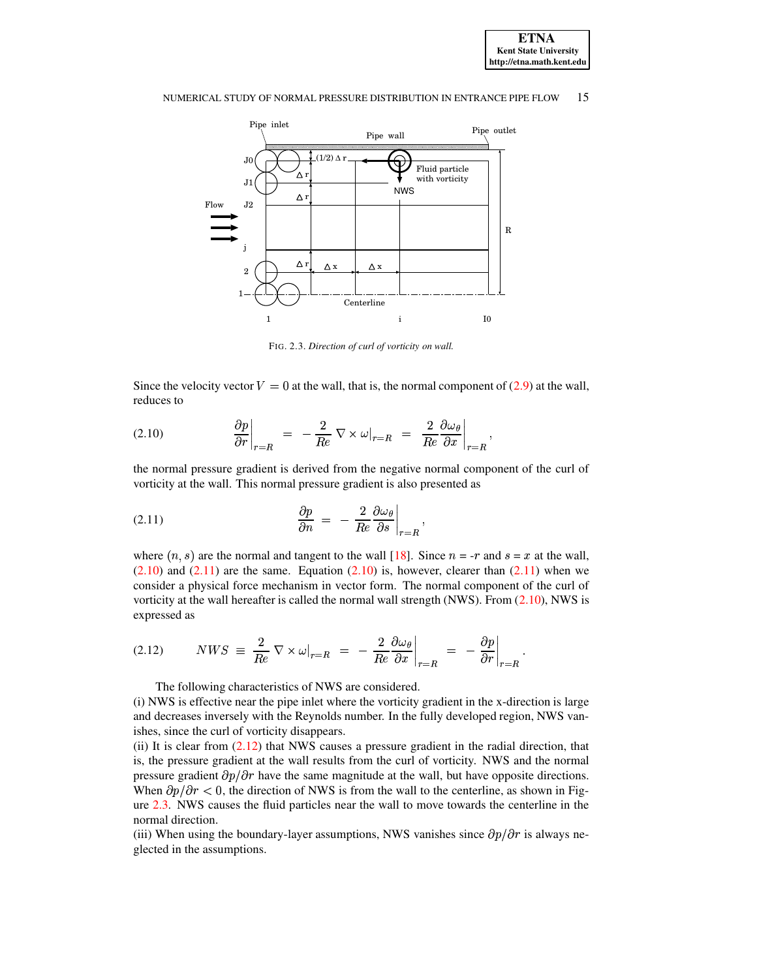



<span id="page-5-3"></span>FIG. 2.3. *Direction of curl of vorticity on wall.*

Since the velocity vector  $V = 0$  at the wall, that is, the normal component of [\(2.9\)](#page-4-3) at the wall, reduces to

<span id="page-5-0"></span>(2.10) 
$$
\left. \frac{\partial p}{\partial r} \right|_{r=R} = -\frac{2}{Re} \nabla \times \omega \big|_{r=R} = \left. \frac{2}{Re} \frac{\partial \omega_{\theta}}{\partial x} \right|_{r=R},
$$

 $\partial r \big|_{r=R}$  Re  $\partial x \big|_{r=R}$  the normal pressure gradient is derived from the negative normal component of the curl of vorticity at the wall. This normal pressure gradient is also presented as

<span id="page-5-1"></span>
$$
\frac{\partial p}{\partial n} = -\frac{2}{Re} \frac{\partial \omega_{\theta}}{\partial s}\bigg|_{r=R},
$$

 $\partial n$  Re  $\partial s \big|_{r=R}$ <br>where  $(n, s)$  are the normal and tangent to the wall [\[18\]](#page-15-3). Since  $n = -r$  and  $s = x$  at the wall,  $(2.10)$  and  $(2.11)$  are the same. Equation  $(2.10)$  is, however, clearer than  $(2.11)$  when we consider a physical force mechanism in vector form. The normal component of the curl of vorticity at the wall hereafter is called the normal wall strength (NWS). From [\(2.10\)](#page-5-0), NWS is expressed as j

<span id="page-5-2"></span>
$$
(2.12) \qquad NWS \equiv \frac{2}{Re} \nabla \times \omega\vert_{r=R} = -\frac{2}{Re} \frac{\partial \omega_{\theta}}{\partial x}\Big|_{r=R} = -\frac{\partial p}{\partial r}\Big|_{r=R}.
$$

The following characteristics of NWS are considered.

(i) NWS is effective near the pipe inlet where the vorticity gradient in the x-direction is large and decreases inversely with the Reynolds number. In the fully developed region, NWS vanishes, since the curl of vorticity disappears.

(ii) It is clear from [\(2.12\)](#page-5-2) that NWS causes a pressure gradient in the radial direction, that is, the pressure gradient at the wall results from the curl of vorticity. NWS and the normal pressure gradient  $\partial p/\partial r$  have the same magnitude at the wall, but have opposite directions. When  $\partial p/\partial r < 0$ , the direction of NWS is from the wall to the centerline, as shown in Figure [2.3.](#page-5-3) NWS causes the fluid particles near the wall to move towards the centerline in the normal direction.

(iii) When using the boundary-layer assumptions, NWS vanishes since  $\partial p/\partial r$  is always neglected in the assumptions.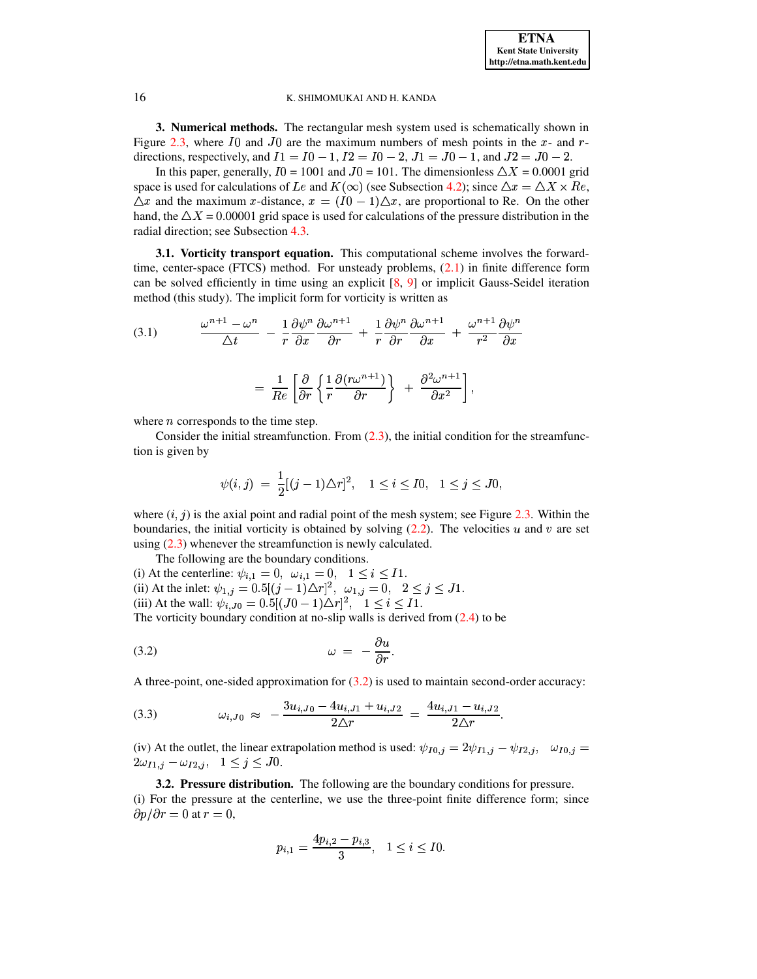**3. Numerical methods.** The rectangular mesh system used is schematically shown in Figure [2.3,](#page-5-3) where I0 and J0 are the maximum numbers of mesh points in the x- and  $r$ directions, respectively, and  $I1 = I0 - 1$ ,  $I2 = I0 - 2$ ,  $J1 = J0 - 1$ , and  $J2 = J0 - 2$ .

In this paper, generally,  $I0 = 1001$  and  $J0 = 101$ . The dimensionless  $\Delta X = 0.0001$  grid space is used for calculations of *Le* and  $K(\infty)$  (see Subsection [4.2\)](#page-8-0); since  $\Delta x = \Delta X \times Re$ ,  $\Delta x$  and the maximum x-distance,  $x = (I0 - 1) \Delta x$ , are proportional to Re. On the other hand, the  $\Delta X = 0.00001$  grid space is used for calculations of the pressure distribution in the radial direction; see Subsection [4.3.](#page-9-0)

**3.1. Vorticity transport equation.** This computational scheme involves the forwardtime, center-space (FTCS) method. For unsteady problems, [\(2.1\)](#page-3-4) in finite difference form can be solved efficiently in time using an explicit [\[8,](#page-14-9) [9\]](#page-14-6) or implicit Gauss-Seidel iteration method (this study). The implicit form for vorticity is written as

<span id="page-6-1"></span>(3.1) 
$$
\frac{\omega^{n+1} - \omega^n}{\Delta t} - \frac{1}{r} \frac{\partial \psi^n}{\partial x} \frac{\partial \omega^{n+1}}{\partial r} + \frac{1}{r} \frac{\partial \psi^n}{\partial r} \frac{\partial \omega^{n+1}}{\partial x} + \frac{\omega^{n+1}}{r^2} \frac{\partial \psi^n}{\partial x}
$$

$$
= \frac{1}{Re} \left[ \frac{\partial}{\partial r} \left\{ \frac{1}{r} \frac{\partial (r\omega^{n+1})}{\partial r} \right\} \ + \ \frac{\partial^2 \omega^{n+1}}{\partial x^2} \right],
$$

where  $n$  corresponds to the time step.

Consider the initial streamfunction. From  $(2.3)$ , the initial condition for the streamfunction is given by

$$
\psi(i,j) = \frac{1}{2} [(j-1)\Delta r]^2, \quad 1 \le i \le I0, \quad 1 \le j \le J0,
$$

where  $(i, j)$  is the axial point and radial point of the mesh system; see Figure [2.3.](#page-5-3) Within the boundaries, the initial vorticity is obtained by solving  $(2.2)$ . The velocities u and v are set using  $(2.3)$  whenever the streamfunction is newly calculated.

The following are the boundary conditions.

(i) At the centerline:  $\psi_{i,1} = 0$ ,  $\omega_{i,1} = 0$ ,  $1 \le i \le 11$ . (ii) At the inlet:  $\psi_{1,j} = 0.5[(j-1)\Delta r]^2$ ,  $\omega_{1,j} = 0$ ,  $2 \le j \le J1$ . (iii) At the wall:  $\psi_{i, J0} = 0.5[(J0 - 1)\Delta r]^2$ ,  $1 \le i \le I1$ .<br>The matrix have democratities at as also wells in derived from (2) The vorticity boundary condition at no-slip walls is derived from [\(2.4\)](#page-3-6) to be  $\sim$   $\sim$   $\sim$   $\sim$   $\sim$   $\sim$ 

<span id="page-6-0"></span>
$$
\omega = -\frac{\partial u}{\partial r}.
$$

A three-point, one-sided approximation for  $(3.2)$  is used to maintain second-order accuracy:

<span id="page-6-2"></span>
$$
(3.3) \t\t\t \omega_{i,J0} \approx -\frac{3u_{i,J0} - 4u_{i,J1} + u_{i,J2}}{2\Delta r} = \frac{4u_{i,J1} - u_{i,J2}}{2\Delta r}.
$$

(iv) At the outlet, the linear extrapolation method is used:  $\psi_{I0,j} = 2\psi_{I1,j} - \psi_{I2,j}$ ,  $\omega_{I0,j} =$  $2\omega_{I1,j} - \omega_{I2,j}, \quad 1 \leq j \leq J0.$ 

 $(3.2.$  **Pressure distribution.** The following are the boundary conditions for pressure. (i) For the pressure at the centerline, we use the three-point finite difference form; since  $\partial p/\partial r = 0$  at  $r = 0$ ,

$$
p_{i,1} = \frac{4p_{i,2} - p_{i,3}}{3}, \quad 1 \leq i \leq I0.
$$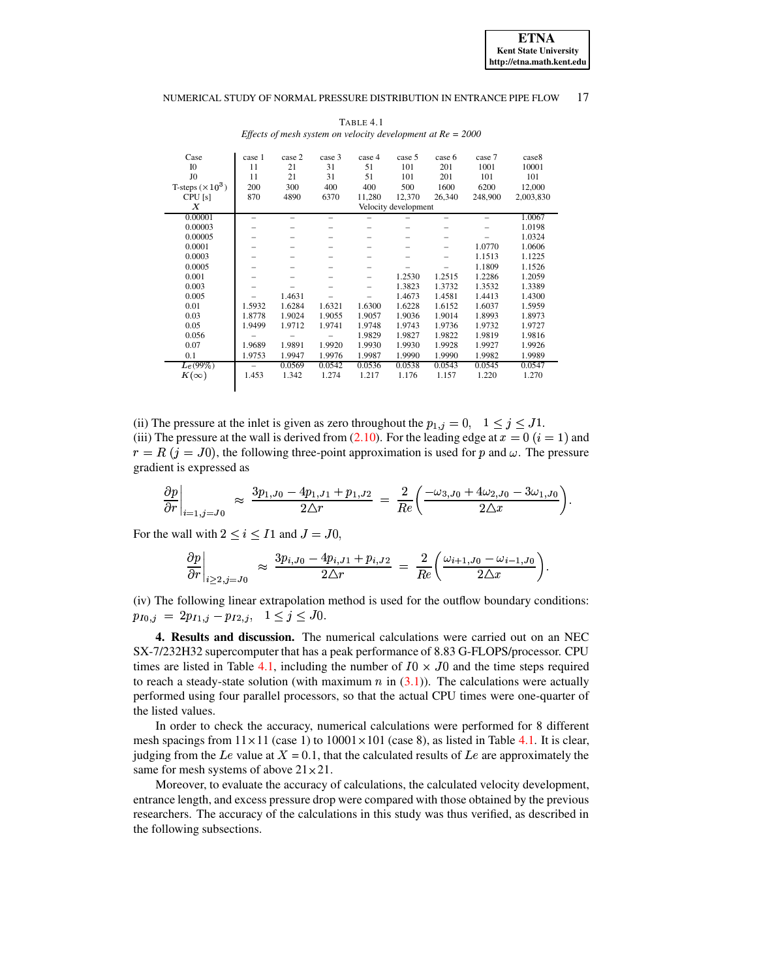<span id="page-7-0"></span>Case case  $1 \text{ case } 2 \text{ case } 3 \text{ case } 4 \text{ case } 5 \text{ case } 6 \text{ case } 7 \text{ case } 8$ I0 11 21 31 51 101 201 1001 10001 J0 11 21 31 51 101 201 101 101  $\begin{array}{c|cccc} \text{J0} & 11 & 21 & 31 & 51 & 101 & 201 & 101 & 101 \\ \text{T-steps} ( \times 10^3 ) & 200 & 300 & 400 & 400 & 500 & 1600 & 6200 & 12,000 \\ \text{CPU [s]} & 870 & 4890 & 6370 & 11,280 & 12,370 & 26,340 & 248,900 & 2,003,830 \\ \end{array}$ CPU [s] 870 4890 6370 11,280 12,370 26,340 248,900 2,003,830 <sup>±</sup> Velocity developme 0.00001 – – – – – – – 1.0067 0.00003 – – – – – – – 1.0198 0.00005 – – – – – – – 1.0324 0.0001 – – – – – – 1.0770 1.0606 0.0003 – – – – – – 1.1513 1.1225 0.0005 – – – – – – 1.1809 1.1526 0.001 – – – – 1.2530 1.2515 1.2286 1.2059 0.003 – – – – 1.3823 1.3732 1.3532 1.3389 0.005 – 1.4631 – – 1.4673 1.4581 1.4413 1.4300 0.01 1.5932 1.6284 1.6321 1.6300 1.6228 1.6152 1.6037 1.5959 0.03 1.8778 1.9024 1.9055 1.9057 1.9036 1.9014 1.8993 1.8973 0.05 1.9499 1.9712 1.9741 1.9748 1.9743 1.9736 1.9732 1.9727 0.056 – – – 1.9829 1.9827 1.9822 1.9819 1.9816 0.07 1.9689 1.9891 1.9920 1.9930 1.9930 1.9928 1.9927 1.9926 0.1 1.9753 1.9947 1.9976 1.9987 1.9990 1.9990 1.9982 1.9989  $Le(99\%)$  |  $K(\infty)$ (99³) – 0.0569 0.0542 0.0536 0.0538 0.0543 0.0545 0.0547 1.453 1.342 1.274 1.217 1.176 1.157 1.220 1.270

TABLE 4.1 *Effects of mesh system on velocity development at Re = 2000*

(ii) The pressure at the inlet is given as zero throughout the  $p_{1,j} = 0$ ,  $1 \le j \le J1$ . (iii) The pressure at the wall is derived from [\(2.10\)](#page-5-0). For the leading edge at  $x = 0$  ( $i = 1$ ) and  $r = R$  ( $j = J0$ ), the following three-point approximation is used for p and  $\omega$ . The pressure " gradient is expressed as

$$
\left.\frac{\partial p}{\partial r}\right|_{i=1,j=J0} \approx \left.\frac{3p_{1,J0}-4p_{1,J1}+p_{1,J2}}{2\Delta r} \right. = \left.\frac{2}{Re}\left(\frac{-\omega_{3,J0}+4\omega_{2,J0}-3\omega_{1,J0}}{2\Delta x}\right)\right).
$$

For the wall with  $2 \leq i \leq I1$  and  $J = J0$ ,

$$
\left.\frac{\partial p}{\partial r}\right|_{i\geq 2,j=J0} \approx \left.\frac{3p_{i,J0}-4p_{i,J1}+p_{i,J2}}{2\Delta r} \right. = \left.\frac{2}{Re}\left(\frac{\omega_{i+1,J0}-\omega_{i-1,J0}}{2\Delta x}\right)\right).
$$

? ? (iv) The following linear extrapolation method is used for the outflow boundary conditions:  $p_{I0,j} = 2p_{I1,j} - p_{I2,j}, \quad 1 \leq j \leq J0.$ 

**4. Results and discussion.** The numerical calculations were carried out on an NEC SX-7/232H32 supercomputer that has a peak performance of 8.83 G-FLOPS/processor. CPU times are listed in Table [4.1,](#page-7-0) including the number of  $I0 \times J0$  and the time steps required to reach a steady-state solution (with maximum  $n$  in [\(3.1\)](#page-6-1)). The calculations were actually performed using four parallel processors, so that the actual CPU times were one-quarter of the listed values.

In order to check the accuracy, numerical calculations were performed for 8 different mesh spacings from  $11 \times 11$  (case 1) to  $10001 \times 101$  (case 8), as listed in Table [4.1.](#page-7-0) It is clear, judging from the Le value at  $X = 0.1$ , that the calculated results of Le are approximately the same for mesh systems of above  $21 \times 21$ .

Moreover, to evaluate the accuracy of calculations, the calculated velocity development, entrance length, and excess pressure drop were compared with those obtained by the previous researchers. The accuracy of the calculations in this study was thus verified, as described in the following subsections.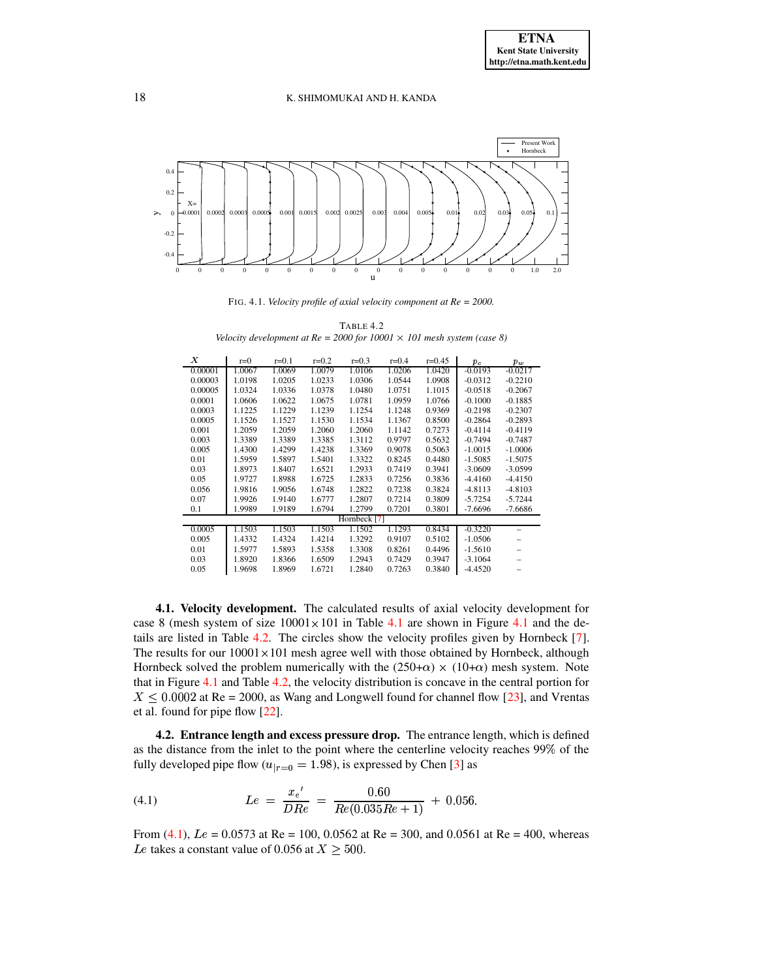

FIG. 4.1. *Velocity profile of axial velocity component at Re = 2000.*

<span id="page-8-1"></span>

| TABLE 4.2                                                                       |
|---------------------------------------------------------------------------------|
| Velocity development at $Re = 2000$ for $10001 \times 101$ mesh system (case 8) |

<span id="page-8-2"></span>

| Х            | $r=0$  | $r = 0.1$ | $r = 0.2$ | $r = 0.3$ | $r = 0.4$ | $r=0.45$ | $p_c$     | $p_w$     |  |
|--------------|--------|-----------|-----------|-----------|-----------|----------|-----------|-----------|--|
| 0.00001      | 1.0067 | 1.0069    | 1.0079    | 1.0106    | 1.0206    | 1.0420   | $-0.0193$ | $-0.0217$ |  |
| 0.00003      | 1.0198 | 1.0205    | 1.0233    | 1.0306    | 1.0544    | 1.0908   | $-0.0312$ | $-0.2210$ |  |
| 0.00005      | 1.0324 | 1.0336    | 1.0378    | 1.0480    | 1.0751    | 1.1015   | $-0.0518$ | $-0.2067$ |  |
| 0.0001       | 1.0606 | 1.0622    | 1.0675    | 1.0781    | 1.0959    | 1.0766   | $-0.1000$ | $-0.1885$ |  |
| 0.0003       | 1.1225 | 1.1229    | 1.1239    | 1.1254    | 1.1248    | 0.9369   | $-0.2198$ | $-0.2307$ |  |
| 0.0005       | 1.1526 | 1.1527    | 1.1530    | 1.1534    | 1.1367    | 0.8500   | $-0.2864$ | $-0.2893$ |  |
| 0.001        | 1.2059 | 1.2059    | 1.2060    | 1.2060    | 1.1142    | 0.7273   | $-0.4114$ | $-0.4119$ |  |
| 0.003        | 1.3389 | 1.3389    | 1.3385    | 1.3112    | 0.9797    | 0.5632   | $-0.7494$ | $-0.7487$ |  |
| 0.005        | 1.4300 | 1.4299    | 1.4238    | 1.3369    | 0.9078    | 0.5063   | $-1.0015$ | $-1.0006$ |  |
| 0.01         | 1.5959 | 1.5897    | 1.5401    | 1.3322    | 0.8245    | 0.4480   | $-1.5085$ | $-1.5075$ |  |
| 0.03         | 1.8973 | 1.8407    | 1.6521    | 1.2933    | 0.7419    | 0.3941   | $-3.0609$ | $-3.0599$ |  |
| 0.05         | 1.9727 | 1.8988    | 1.6725    | 1.2833    | 0.7256    | 0.3836   | $-4.4160$ | $-4.4150$ |  |
| 0.056        | 1.9816 | 1.9056    | 1.6748    | 1.2822    | 0.7238    | 0.3824   | $-4.8113$ | $-4.8103$ |  |
| 0.07         | 1.9926 | 1.9140    | 1.6777    | 1.2807    | 0.7214    | 0.3809   | $-5.7254$ | $-5.7244$ |  |
| 0.1          | 1.9989 | 1.9189    | 1.6794    | 1.2799    | 0.7201    | 0.3801   | $-7.6696$ | $-7.6686$ |  |
| Hornbeck [7] |        |           |           |           |           |          |           |           |  |
| 0.0005       | 1.1503 | 1.1503    | 1.1503    | 1.1502    | 1.1293    | 0.8434   | $-0.3220$ |           |  |
| 0.005        | 1.4332 | 1.4324    | 1.4214    | 1.3292    | 0.9107    | 0.5102   | $-1.0506$ |           |  |
| 0.01         | 1.5977 | 1.5893    | 1.5358    | 1.3308    | 0.8261    | 0.4496   | $-1.5610$ |           |  |
| 0.03         | 1.8920 | 1.8366    | 1.6509    | 1.2943    | 0.7429    | 0.3947   | $-3.1064$ |           |  |
| 0.05         | 1.9698 | 1.8969    | 1.6721    | 1.2840    | 0.7263    | 0.3840   | $-4.4520$ |           |  |

**4.1. Velocity development.** The calculated results of axial velocity development for case 8 (mesh system of size  $10001 \times 101$  in Table [4.1](#page-8-1) are shown in Figure 4.1 and the de-tails are listed in Table [4.2.](#page-8-2) The circles show the velocity profiles given by Hornbeck [\[7\]](#page-14-10). The results for our  $10001 \times 101$  mesh agree well with those obtained by Hornbeck, although Hornbeck solved the problem numerically with the  $(250+\alpha) \times (10+\alpha)$  mesh system. Note that in Figure [4.1](#page-8-1) and Table [4.2,](#page-8-2) the velocity distribution is concave in the central portion for  $X \leq 0.0002$  at Re = 2000, as Wang and Longwell found for channel flow [\[23\]](#page-15-5), and Vrentas et al. found for pipe flow [\[22\]](#page-15-6).

<span id="page-8-0"></span>**4.2. Entrance length and excess pressure drop.** The entrance length, which is defined as the distance from the inlet to the point where the centerline velocity reaches 99<sup>Ã</sup> of the fully developed pipe flow ( $u_{|r=0} = 1.98$ ), is expressed by Chen [\[3\]](#page-14-1) as

<span id="page-8-3"></span>(4.1) 
$$
Le = \frac{x_e'}{DRe} = \frac{0.60}{Re(0.035Re + 1)} + 0.056
$$

From [\(4.1\)](#page-8-3),  $Le = 0.0573$  at Re = 100, 0.0562 at Re = 300, and 0.0561 at Re = 400, whereas Le takes a constant value of 0.056 at  $X \geq 500$ .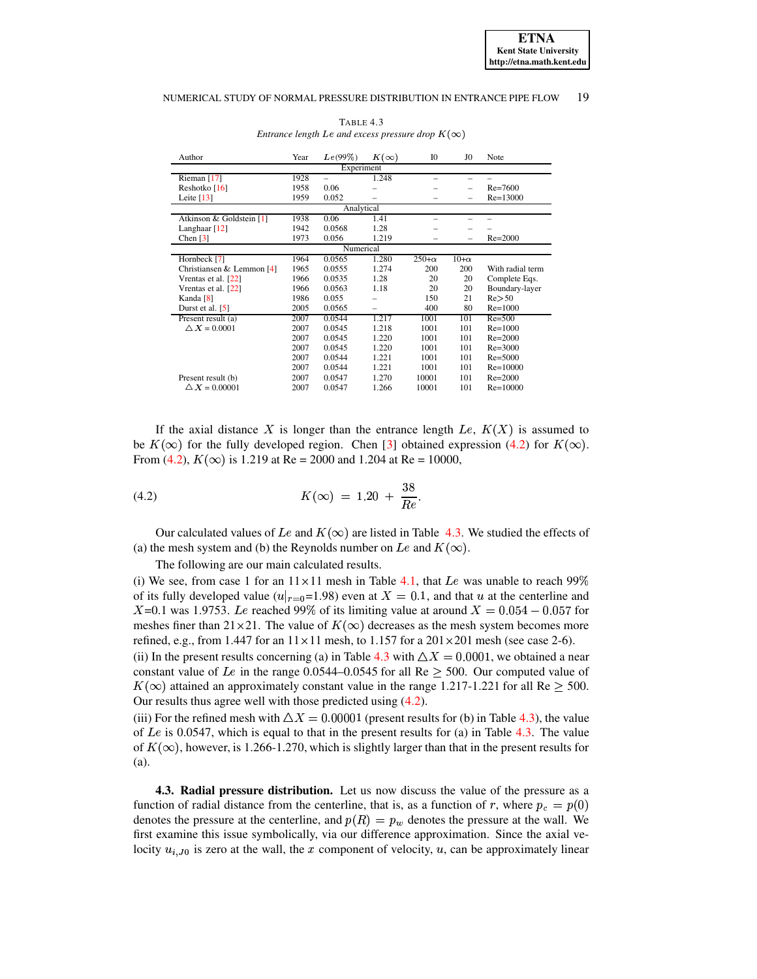<span id="page-9-2"></span>

| Author                      | Year | Le(99%)                  | $K(\infty)$ | I <sub>0</sub> | JO.                      | Note             |  |  |  |
|-----------------------------|------|--------------------------|-------------|----------------|--------------------------|------------------|--|--|--|
| Experiment                  |      |                          |             |                |                          |                  |  |  |  |
| Rieman $[17]$               | 1928 | $\overline{\phantom{0}}$ | 1.248       |                |                          |                  |  |  |  |
| Reshotko [16]               | 1958 | 0.06                     |             |                | $\overline{\phantom{0}}$ | $Re = 7600$      |  |  |  |
| Leite $[13]$                | 1959 | 0.052                    |             |                | $\overline{\phantom{0}}$ | $Re=13000$       |  |  |  |
| Analytical                  |      |                          |             |                |                          |                  |  |  |  |
| Atkinson & Goldstein [1]    | 1938 | 0.06                     | 1.41        |                |                          |                  |  |  |  |
| Langhaar <sup>[12]</sup>    | 1942 | 0.0568                   | 1.28        |                |                          |                  |  |  |  |
| Chen $[3]$                  | 1973 | 0.056                    | 1.219       |                |                          | $Re = 2000$      |  |  |  |
| Numerical                   |      |                          |             |                |                          |                  |  |  |  |
| Hornbeck [7]                | 1964 | 0.0565                   | 1.280       | $250+\alpha$   | $10+\alpha$              |                  |  |  |  |
| Christiansen & Lemmon $[4]$ | 1965 | 0.0555                   | 1.274       | 200            | 200                      | With radial term |  |  |  |
| Vrentas et al. [22]         | 1966 | 0.0535                   | 1.28        | 20             | 20                       | Complete Eqs.    |  |  |  |
| Vrentas et al. [22]         | 1966 | 0.0563                   | 1.18        | 20             | 20                       | Boundary-layer   |  |  |  |
| Kanda [8]                   | 1986 | 0.055                    |             | 150            | 21                       | Re > 50          |  |  |  |
| Durst et al. [5]            | 2005 | 0.0565                   |             | 400            | 80                       | $Re = 1000$      |  |  |  |
| Present result (a)          | 2007 | 0.0544                   | 1.217       | 1001           | 101                      | $Re = 500$       |  |  |  |
| $\triangle X = 0.0001$      | 2007 | 0.0545                   | 1.218       | 1001           | 101                      | $Re=1000$        |  |  |  |
|                             | 2007 | 0.0545                   | 1.220       | 1001           | 101                      | $Re = 2000$      |  |  |  |
|                             | 2007 | 0.0545                   | 1.220       | 1001           | 101                      | $Re = 3000$      |  |  |  |
|                             | 2007 | 0.0544                   | 1.221       | 1001           | 101                      | $Re = 5000$      |  |  |  |
|                             | 2007 | 0.0544                   | 1.221       | 1001           | 101                      | $Re = 10000$     |  |  |  |
| Present result (b)          | 2007 | 0.0547                   | 1.270       | 10001          | 101                      | $Re = 2000$      |  |  |  |
| $\triangle X = 0.00001$     | 2007 | 0.0547                   | 1.266       | 10001          | 101                      | $Re=10000$       |  |  |  |

TABLE 4.3 *Entrance length Le and excess pressure drop*  $K(\infty)$ 

If the axial distance X is longer than the entrance length  $Le, K(X)$  is assumed to be  $K(\infty)$  for the fully developed region. Chen [\[3\]](#page-14-1) obtained expression [\(4.2\)](#page-9-1) for  $K(\infty)$ . From [\(4.2\)](#page-9-1),  $K(\infty)$  is 1.219 at Re = 2000 and 1.204 at Re = 10000,

<span id="page-9-1"></span>(4.2) 
$$
K(\infty) = 1.20 + \frac{38}{Re}.
$$

Our calculated values of Le and  $K(\infty)$  are listed in Table [4.3.](#page-9-2) We studied the effects of (a) the mesh system and (b) the Reynolds number on Le and  $K(\infty)$ .

The following are our main calculated results.

(i) We see, from case 1 for an  $11 \times 11$  mesh in Table [4.1,](#page-7-0) that Le was unable to reach 99% of its fully developed value  $(u|_{r=0}=1.98)$  even at  $X=0.1$ , and that u at the centerline and  $r_{r=0}$ =1.98) even at  $X = 0.1$ , and that  $u$ <br>199% of its limiting value at around X  $X=0.1$  was 1.9753. Le reached 99% of its limiting value at around  $X = 0.054 - 0.057$  for meshes finer than  $21 \times 21$ . The value of  $K(\infty)$  decreases as the mesh system becomes more refined, e.g., from 1.447 for an  $11 \times 11$  mesh, to  $1.157$  for a  $201 \times 201$  mesh (see case 2-6).

(ii) In the present results concerning (a) in Table [4.3](#page-9-2) with  $\Delta X = 0.0001$ , we obtained a near constant value of Le in the range  $0.0544-0.0545$  for all Re  $\geq$  500. Our computed value of  $\blacksquare$  $K(\infty)$  attained an approximately constant value in the range 1.217-1.221 for all Re  $\geq$  500. Our results thus agree well with those predicted using [\(4.2\)](#page-9-1).

(iii) For the refined mesh with  $\Delta X = 0.00001$  (present results for (b) in Table [4.3\)](#page-9-2), the value of  $Le$  is 0.0547, which is equal to that in the present results for (a) in Table [4.3.](#page-9-2) The value of  $K(\infty)$ , however, is 1.266-1.270, which is slightly larger than that in the present results for (a).

<span id="page-9-0"></span>**4.3. Radial pressure distribution.** Let us now discuss the value of the pressure as a function of radial distance from the centerline, that is, as a function of r, where  $p_c = p(0)$ denotes the pressure at the centerline, and  $p(R) = p_w$  denotes the pressure at the wall. We first examine this issue symbolically, via our difference approximation. Since the axial velocity  $u_{i,J_0}$  is zero at the wall, the x component of velocity, u, can be approximately linear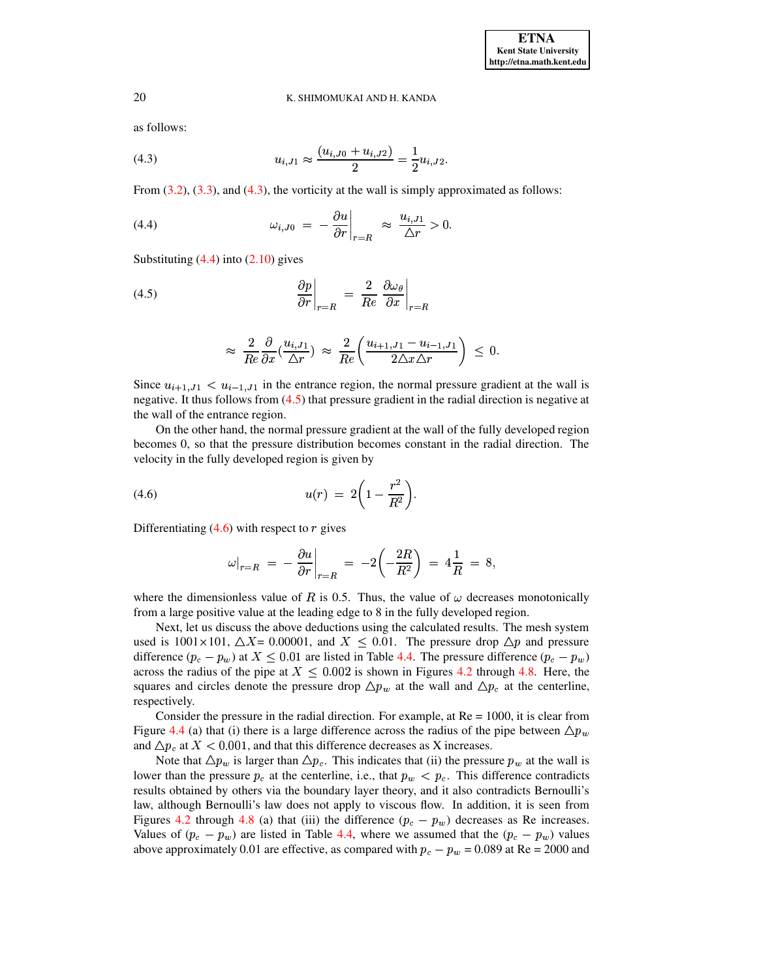as follows:

<span id="page-10-0"></span>(4.3) 
$$
u_{i,J1} \approx \frac{(u_{i,J0} + u_{i,J2})}{2} = \frac{1}{2} u_{i,J2}.
$$

From  $(3.2)$ ,  $(3.3)$ , and  $(4.3)$ , the vorticity at the wall is simply approximated as follows:

<span id="page-10-1"></span>(4.4) 
$$
\omega_{i,J0} = -\frac{\partial u}{\partial r}\Big|_{r=R} \approx \frac{u_{i,J1}}{\Delta r} > 0.
$$
Substituting (4.4) into (2.10) gives

Substituting  $(4.4)$  into  $(2.10)$  gives

(4.5) 
$$
\left. \frac{\partial p}{\partial r} \right|_{r=R} = \left. \frac{2}{Re} \left. \frac{\partial \omega_{\theta}}{\partial x} \right|_{r=R} \right.
$$

<span id="page-10-2"></span>
$$
\approx \frac{2}{Re} \frac{\partial}{\partial x} (\frac{u_{i,J1}}{\Delta r}) \approx \frac{2}{Re} \left( \frac{u_{i+1,J1} - u_{i-1,J1}}{2 \Delta x \Delta r} \right) \leq 0.
$$

Since  $u_{i+1}$ ,  $j_1 < u_{i-1}$ ,  $j_1$  in the entrance region, the normal pressure gradient at the wall is negative. It thus follows from [\(4.5\)](#page-10-2) that pressure gradient in the radial direction is negative at the wall of the entrance region.

On the other hand, the normal pressure gradient at the wall of the fully developed region becomes 0, so that the pressure distribution becomes constant in the radial direction. The velocity in the fully developed region is given by

<span id="page-10-3"></span>(4.6) 
$$
u(r) = 2\left(1 - \frac{r^2}{R^2}\right).
$$

Differentiating  $(4.6)$  with respect to  $r$  gives

$$
\omega|_{r=R} = -\frac{\partial u}{\partial r}\Big|_{r=R} = -2\left(-\frac{2R}{R^2}\right) = 4\frac{1}{R} = 8,
$$
  
where the dimensionless value of *R* is 0.5. Thus, the value of  $\omega$  decreases monotonically

from a large positive value at the leading edge to 8 in the fully developed region.

Next, let us discuss the above deductions using the calculated results. The mesh system used is  $1001 \times 101$ ,  $\Delta X = 0.00001$ , and  $X \le 0.01$ . The pressure drop  $\Delta p$  and pressure difference  $(p_c - p_w)$  at  $X \leq 0.01$  are listed in Table [4.4.](#page-11-0) The pressure difference  $(p_c - p_w)$ across the radius of the pipe at  $X \le 0.002$  is shown in Figures [4.2](#page-11-1) through [4.8.](#page-14-14) Here, the ) and  $\overline{\phantom{a}}$ squares and circles denote the pressure drop  $\Delta p_w$  at the wall and  $\Delta p_c$  at the centerline, respectively.

Consider the pressure in the radial direction. For example, at  $Re = 1000$ , it is clear from Figure [4.4](#page-12-0) (a) that (i) there is a large difference across the radius of the pipe between  $\Delta p_w$ and  $\Delta p_c$  at  $X < 0.001$ , and that this difference decreases as X increases.

Note that  $\Delta p_w$  is larger than  $\Delta p_c$ . This indicates that (ii) the pressure  $p_w$  at the wall is lower than the pressure  $p_c$  at the centerline, i.e., that  $p_w < p_c$ . This difference contradicts results obtained by others via the boundary layer theory, and it also contradicts Bernoulli's law, although Bernoulli's law does not apply to viscous flow. In addition, it is seen from Figures [4.2](#page-11-1) through [4.8](#page-14-14) (a) that (iii) the difference  $(p_c - p_w)$  decreases as Re increases. Values of  $(p_c - p_w)$  are listed in Table [4.4,](#page-11-0) where we assumed that the  $(p_c - p_w)$  values above approximately 0.01 are effective, as compared with  $p_c - p_w = 0.089$  at Re = 2000 and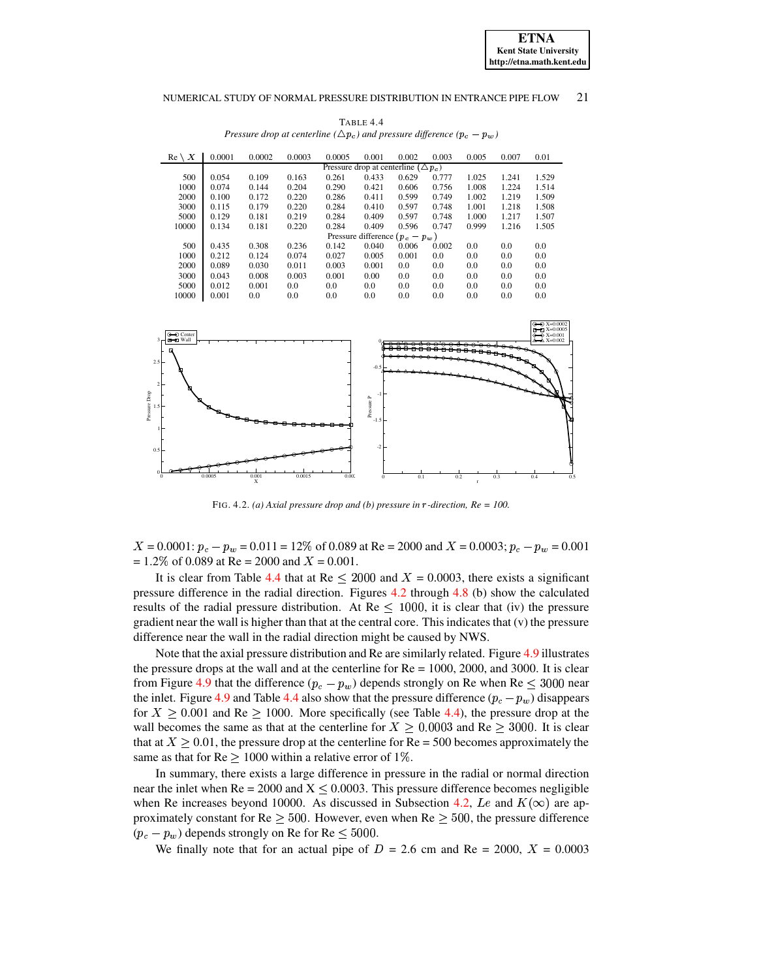<span id="page-11-0"></span>

| 0.0001                                          | 0.0002 | 0.0003 | 0.0005 | 0.001 | 0.002 | 0.003 | 0.005                             | 0.007 | 0.01  |  |  |  |
|-------------------------------------------------|--------|--------|--------|-------|-------|-------|-----------------------------------|-------|-------|--|--|--|
| Pressure drop at centerline ( $\triangle p_c$ ) |        |        |        |       |       |       |                                   |       |       |  |  |  |
| 0.054                                           | 0.109  | 0.163  | 0.261  | 0.433 | 0.629 | 0.777 | 1.025                             | 1.241 | 1.529 |  |  |  |
| 0.074                                           | 0.144  | 0.204  | 0.290  | 0.421 | 0.606 | 0.756 | 1.008                             | 1.224 | 1.514 |  |  |  |
| 0.100                                           | 0.172  | 0.220  | 0.286  | 0.411 | 0.599 | 0.749 | 1.002                             | 1.219 | 1.509 |  |  |  |
| 0.115                                           | 0.179  | 0.220  | 0.284  | 0.410 | 0.597 | 0.748 | 1.001                             | 1.218 | 1.508 |  |  |  |
| 0.129                                           | 0.181  | 0.219  | 0.284  | 0.409 | 0.597 | 0.748 | 1.000                             | 1.217 | 1.507 |  |  |  |
| 0.134                                           | 0.181  | 0.220  | 0.284  | 0.409 | 0.596 | 0.747 | 0.999                             | 1.216 | 1.505 |  |  |  |
|                                                 |        |        |        |       |       |       |                                   |       |       |  |  |  |
| 0.435                                           | 0.308  | 0.236  | 0.142  | 0.040 | 0.006 | 0.002 | 0.0                               | 0.0   | 0.0   |  |  |  |
| 0.212                                           | 0.124  | 0.074  | 0.027  | 0.005 | 0.001 | 0.0   | 0.0                               | 0.0   | 0.0   |  |  |  |
| 0.089                                           | 0.030  | 0.011  | 0.003  | 0.001 | 0.0   | 0.0   | 0.0                               | 0.0   | 0.0   |  |  |  |
| 0.043                                           | 0.008  | 0.003  | 0.001  | 0.00  | 0.0   | 0.0   | 0.0                               | 0.0   | 0.0   |  |  |  |
| 0.012                                           | 0.001  | 0.0    | 0.0    | 0.0   | 0.0   | 0.0   | 0.0                               | 0.0   | 0.0   |  |  |  |
| 0.001                                           | 0.0    | 0.0    | 0.0    | 0.0   | 0.0   | 0.0   | 0.0                               | 0.0   | 0.0   |  |  |  |
|                                                 |        |        |        |       |       |       | Pressure difference $(p_c - p_w)$ |       |       |  |  |  |

TABLE 4.4 *Pressure drop at centerline* ( $\triangle p_c$ ) *and pressure difference* ( $p_c - p_w$ )



FIG. 4.2. *(a)* Axial pressure drop and *(b)* pressure in  $r$ -direction,  $Re = 100$ .

<span id="page-11-1"></span> $X = 0.0001$ :  $p_c - p_w = 0.011 = 12\%$  of 0.089 at Re = 2000 and  $X = 0.0003$ ;  $p_c - p_w = 0.001$  $= 1.2\%$  of 0.089 at Re  $= 2000$  and  $X = 0.001$ .

It is clear from Table [4.4](#page-11-0) that at Re  $\leq$  2000 and  $X = 0.0003$ , there exists a significant pressure difference in the radial direction. Figures [4.2](#page-11-1) through [4.8](#page-14-14) (b) show the calculated results of the radial pressure distribution. At  $Re \le 1000$ , it is clear that (iv) the pressure results of the radial pressure distribution. At  $\text{Re} \leq 1000$ , it is clear that (iv) the pressure gradient near the wall is higher than that at the central core. This indicates that (v) the pressure difference near the wall in the radial direction might be caused by NWS.

Note that the axial pressure distribution and Re are similarly related. Figure [4.9](#page-15-8) illustrates the pressure drops at the wall and at the centerline for  $Re = 1000$ , 2000, and 3000. It is clear from Figure [4.9](#page-15-8) that the difference  $(p_c - p_w)$  depends strongly on Re when Re  $\leq 3000$  near the inlet. Figure [4.9](#page-15-8) and Table [4.4](#page-11-0) also show that the pressure difference  $(p_c - p_w)$  disappears for  $X \ge 0.001$  and Re  $\ge 1000$ . More specifically (see Table [4.4\)](#page-11-0), the pressure drop at the wall becomes the same as that at the centerline for  $X \ge 0.0003$  and Re  $\ge 3000$ . It is clear that at  $X \ge 0.01$ , the pressure drop at the centerline for  $Re = 500$  becomes approximately the <sup>ª</sup> same as that for  $Re \ge 1000$  within a relative error of 1%.

In summary, there exists a large difference in pressure in the radial or normal direction near the inlet when Re = 2000 and  $X \leq 0.0003$ . This pressure difference becomes negligible when Re increases beyond 10000. As discussed in Subsection [4.2,](#page-9-1) Le and  $K(\infty)$  are approximately constant for  $Re \ge 500$ . However, even when  $Re \ge 500$ , the pressure difference  $(p_c - p_w)$  depends strongly on Re for Re  $\leq 5000$ .

We finally note that for an actual pipe of  $D = 2.6$  cm and Re = 2000,  $X = 0.0003$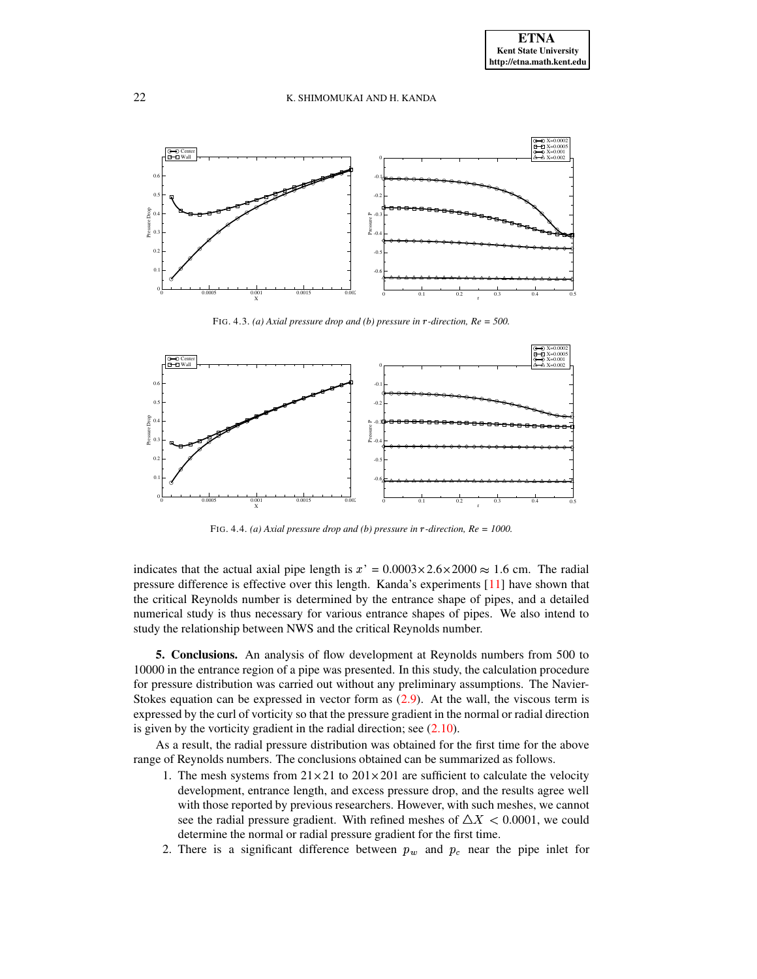

FIG. 4.3. *(a)* Axial pressure drop and *(b)* pressure in  $r$ -direction,  $Re = 500$ .



FIG. 4.4. *(a) Axial pressure drop and (b) pressure in* <sup>ä</sup> *-direction, Re = 1000.*

<span id="page-12-0"></span>indicates that the actual axial pipe length is  $x' = 0.0003 \times 2.6 \times 2000 \approx 1.6$  cm. The radial pressure difference is effective over this length. Kanda's experiments [\[11\]](#page-14-15) have shown that the critical Reynolds number is determined by the entrance shape of pipes, and a detailed numerical study is thus necessary for various entrance shapes of pipes. We also intend to study the relationship between NWS and the critical Reynolds number.

**5. Conclusions.** An analysis of flow development at Reynolds numbers from 500 to 10000 in the entrance region of a pipe was presented. In this study, the calculation procedure for pressure distribution was carried out without any preliminary assumptions. The Navier-Stokes equation can be expressed in vector form as [\(2.9\)](#page-4-3). At the wall, the viscous term is expressed by the curl of vorticity so that the pressure gradient in the normal or radial direction is given by the vorticity gradient in the radial direction; see  $(2.10)$ .

As a result, the radial pressure distribution was obtained for the first time for the above range of Reynolds numbers. The conclusions obtained can be summarized as follows.

- 1. The mesh systems from  $21 \times 21$  to  $201 \times 201$  are sufficient to calculate the velocity development, entrance length, and excess pressure drop, and the results agree well with those reported by previous researchers. However, with such meshes, we cannot see the radial pressure gradient. With refined meshes of  $\triangle X < 0.0001$ , we could determine the normal or radial pressure gradient for the first time.
- 2. There is a significant difference between  $p_w$  and  $p_c$  near the pipe inlet for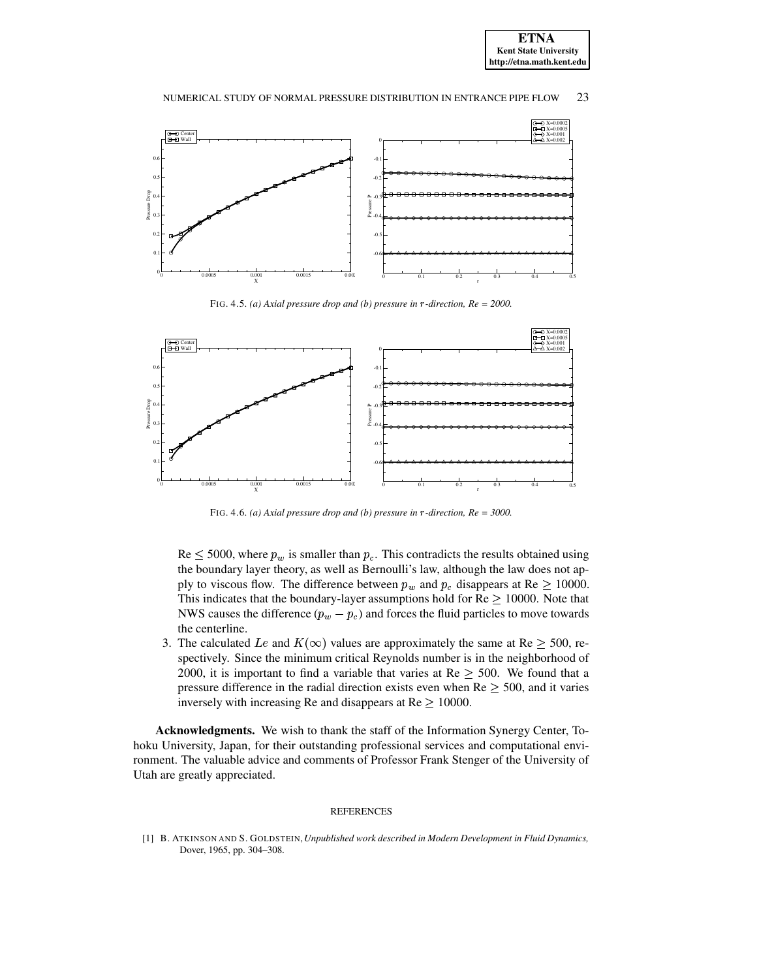



FIG. 4.5. *(a) Axial pressure drop and <i>(b) pressure in*  $r$ -direction,  $Re = 2000$ .



FIG. 4.6. *(a)* Axial pressure drop and *(b)* pressure in  $r$ -direction,  $Re = 3000$ .

 $\text{Re} \leq 5000$ , where  $p_w$  is smaller than  $p_c$ . This contradicts the results obtained using the boundary layer theory, as well as Bernoulli's law, although the law does not apply to viscous flow. The difference between  $p_w$  and  $p_c$  disappears at Re  $\geq 10000$ . This indicates that the boundary-layer assumptions hold for  $Re \ge 10000$ . Note that NWS causes the difference  $(p_w - p_c)$  and forces the fluid particles to move towards the centerline.

3. The calculated *Le* and  $K(\infty)$  values are approximately the same at Re  $\geq$  500, respectively. Since the minimum critical Reynolds number is in the neighborhood of 2000, it is important to find a variable that varies at  $Re \ge 500$ . We found that a pressure difference in the radial direction exists even when  $Re \ge 500$ , and it varies inversely with increasing Re and disappears at  $Re \ge 10000$ .

**Acknowledgments.** We wish to thank the staff of the Information Synergy Center, Tohoku University, Japan, for their outstanding professional services and computational environment. The valuable advice and comments of Professor Frank Stenger of the University of Utah are greatly appreciated.

#### REFERENCES

<span id="page-13-0"></span>[1] B. ATKINSON AND S. GOLDSTEIN,*Unpublished work described in Modern Development in Fluid Dynamics,* Dover, 1965, pp. 304–308.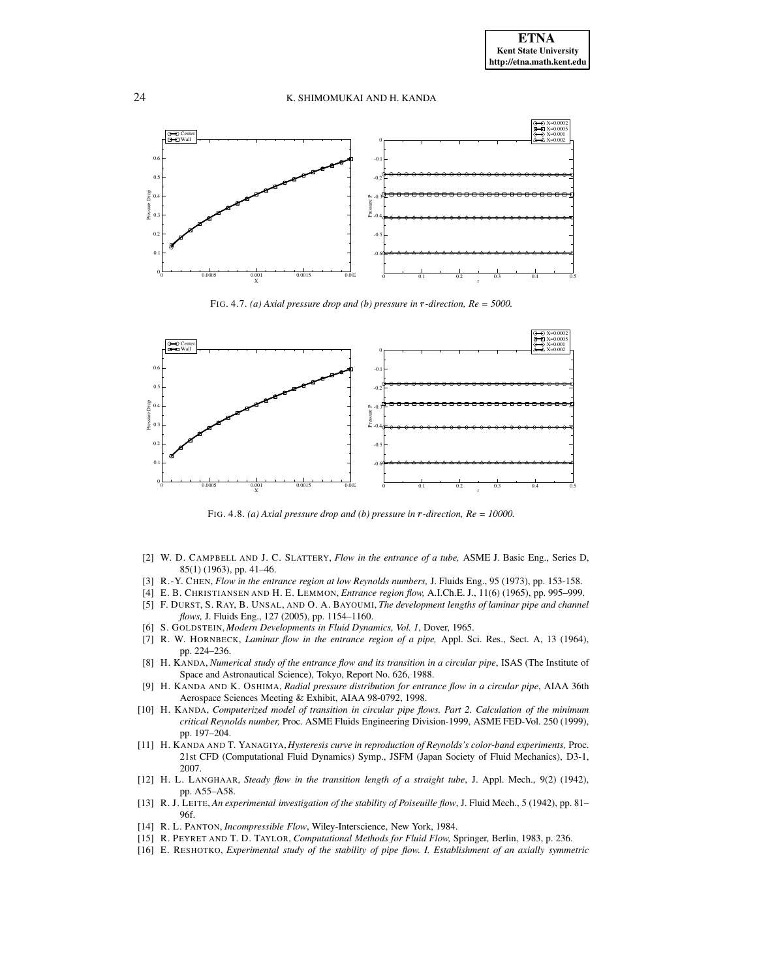

FIG. 4.7. *(a) Axial pressure drop and <i>(b) pressure in*  $r$ -direction,  $Re = 5000$ .



FIG. 4.8. *(a) Axial pressure drop and (b) pressure in* <sup>ä</sup> *-direction, Re = 10000.*

- <span id="page-14-14"></span><span id="page-14-3"></span>[2] W. D. CAMPBELL AND J. C. SLATTERY, *Flow in the entrance of a tube,* ASME J. Basic Eng., Series D, 85(1) (1963), pp. 41–46.
- <span id="page-14-4"></span><span id="page-14-1"></span>[3] R.-Y. CHEN, *Flow in the entrance region at low Reynolds numbers,* J. Fluids Eng., 95 (1973), pp. 153-158.
- <span id="page-14-13"></span>[4] E. B. CHRISTIANSEN AND H. E. LEMMON, *Entrance region flow,* A.I.Ch.E. J., 11(6) (1965), pp. 995–999.
- [5] F. DURST, S. RAY, B. UNSAL, AND O. A. BAYOUMI, *The development lengths of laminar pipe and channel flows,* J. Fluids Eng., 127 (2005), pp. 1154–1160.
- <span id="page-14-10"></span><span id="page-14-0"></span>[6] S. GOLDSTEIN, *Modern Developments in Fluid Dynamics, Vol. 1*, Dover, 1965.
- [7] R. W. HORNBECK, *Laminar flow in the entrance region of a pipe,* Appl. Sci. Res., Sect. A, 13 (1964), pp. 224–236.
- <span id="page-14-9"></span>[8] H. KANDA, *Numerical study of the entrance flow and its transition in a circular pipe*, ISAS (The Institute of Space and Astronautical Science), Tokyo, Report No. 626, 1988.
- <span id="page-14-6"></span>[9] H. KANDA AND K. OSHIMA, *Radial pressure distribution for entrance flow in a circular pipe*, AIAA 36th Aerospace Sciences Meeting & Exhibit, AIAA 98-0792, 1998.
- <span id="page-14-2"></span>[10] H. KANDA, *Computerized model of transition in circular pipe flows. Part 2. Calculation of the minimum critical Reynolds number,* Proc. ASME Fluids Engineering Division-1999, ASME FED-Vol. 250 (1999), pp. 197–204.
- <span id="page-14-15"></span>[11] H. KANDA AND T. YANAGIYA, *Hysteresis curve in reproduction of Reynolds's color-band experiments,* Proc. 21st CFD (Computational Fluid Dynamics) Symp., JSFM (Japan Society of Fluid Mechanics), D3-1, 2007.
- <span id="page-14-7"></span>[12] H. L. LANGHAAR, *Steady flow in the transition length of a straight tube*, J. Appl. Mech., 9(2) (1942), pp. A55–A58.
- <span id="page-14-12"></span>[13] R. J. LEITE, *An experimental investigation of the stability of Poiseuille flow*, J. Fluid Mech., 5 (1942), pp. 81– 96f.
- <span id="page-14-8"></span><span id="page-14-5"></span>[14] R. L. PANTON, *Incompressible Flow*, Wiley-Interscience, New York, 1984.
- <span id="page-14-11"></span>[15] R. PEYRET AND T. D. TAYLOR, *Computational Methods for Fluid Flow,* Springer, Berlin, 1983, p. 236.
- [16] E. RESHOTKO, *Experimental study of the stability of pipe flow. I. Establishment of an axially symmetric*